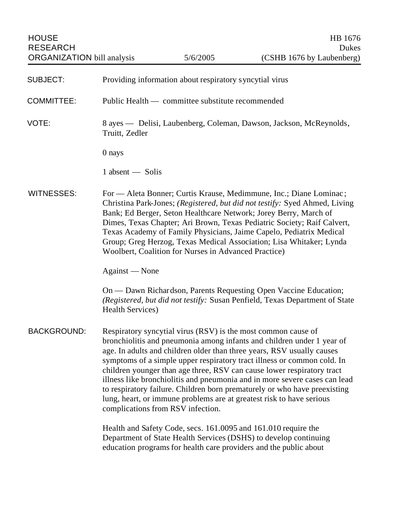| <b>HOUSE</b><br><b>RESEARCH</b>   |                          |                                                                                                    | HB 1676<br>Dukes                                                                                                                                                                                                                                                                                                                                                                                                                                                                                                                         |
|-----------------------------------|--------------------------|----------------------------------------------------------------------------------------------------|------------------------------------------------------------------------------------------------------------------------------------------------------------------------------------------------------------------------------------------------------------------------------------------------------------------------------------------------------------------------------------------------------------------------------------------------------------------------------------------------------------------------------------------|
| <b>ORGANIZATION</b> bill analysis |                          | 5/6/2005                                                                                           | (CSHB 1676 by Laubenberg)                                                                                                                                                                                                                                                                                                                                                                                                                                                                                                                |
| <b>SUBJECT:</b>                   |                          | Providing information about respiratory syncytial virus                                            |                                                                                                                                                                                                                                                                                                                                                                                                                                                                                                                                          |
| <b>COMMITTEE:</b>                 |                          | Public Health — committee substitute recommended                                                   |                                                                                                                                                                                                                                                                                                                                                                                                                                                                                                                                          |
| VOTE:                             | Truitt, Zedler           |                                                                                                    | 8 ayes — Delisi, Laubenberg, Coleman, Dawson, Jackson, McReynolds,                                                                                                                                                                                                                                                                                                                                                                                                                                                                       |
|                                   | 0 nays                   |                                                                                                    |                                                                                                                                                                                                                                                                                                                                                                                                                                                                                                                                          |
|                                   | $1$ absent $-$ Solis     |                                                                                                    |                                                                                                                                                                                                                                                                                                                                                                                                                                                                                                                                          |
| <b>WITNESSES:</b>                 |                          | Woolbert, Coalition for Nurses in Advanced Practice)                                               | For — Aleta Bonner; Curtis Krause, Medimmune, Inc.; Diane Lominac;<br>Christina Park-Jones; (Registered, but did not testify: Syed Ahmed, Living<br>Bank; Ed Berger, Seton Healthcare Network; Jorey Berry, March of<br>Dimes, Texas Chapter; Ari Brown, Texas Pediatric Society; Raif Calvert,<br>Texas Academy of Family Physicians, Jaime Capelo, Pediatrix Medical<br>Group; Greg Herzog, Texas Medical Association; Lisa Whitaker; Lynda                                                                                            |
|                                   | Against — None           |                                                                                                    |                                                                                                                                                                                                                                                                                                                                                                                                                                                                                                                                          |
|                                   | <b>Health Services</b> ) |                                                                                                    | On — Dawn Richardson, Parents Requesting Open Vaccine Education;<br>(Registered, but did not testify: Susan Penfield, Texas Department of State                                                                                                                                                                                                                                                                                                                                                                                          |
| <b>BACKGROUND:</b>                |                          | Respiratory syncytial virus (RSV) is the most common cause of<br>complications from RSV infection. | bronchiolitis and pneumonia among infants and children under 1 year of<br>age. In adults and children older than three years, RSV usually causes<br>symptoms of a simple upper respiratory tract illness or common cold. In<br>children younger than age three, RSV can cause lower respiratory tract<br>illness like bronchiolitis and pneumonia and in more severe cases can lead<br>to respiratory failure. Children born prematurely or who have preexisting<br>lung, heart, or immune problems are at greatest risk to have serious |
|                                   |                          | Health and Safety Code, secs. 161.0095 and 161.010 require the                                     | Department of State Health Services (DSHS) to develop continuing<br>education programs for health care providers and the public about                                                                                                                                                                                                                                                                                                                                                                                                    |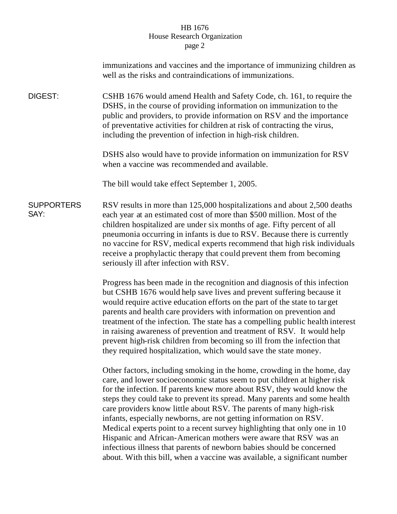## HB 1676 House Research Organization page 2

|                           | immunizations and vaccines and the importance of immunizing children as<br>well as the risks and contraindications of immunizations.                                                                                                                                                                                                                                                                                                                                                                                                                                                                                                                                                                                                                          |
|---------------------------|---------------------------------------------------------------------------------------------------------------------------------------------------------------------------------------------------------------------------------------------------------------------------------------------------------------------------------------------------------------------------------------------------------------------------------------------------------------------------------------------------------------------------------------------------------------------------------------------------------------------------------------------------------------------------------------------------------------------------------------------------------------|
| DIGEST:                   | CSHB 1676 would amend Health and Safety Code, ch. 161, to require the<br>DSHS, in the course of providing information on immunization to the<br>public and providers, to provide information on RSV and the importance<br>of preventative activities for children at risk of contracting the virus,<br>including the prevention of infection in high-risk children.                                                                                                                                                                                                                                                                                                                                                                                           |
|                           | DSHS also would have to provide information on immunization for RSV<br>when a vaccine was recommended and available.                                                                                                                                                                                                                                                                                                                                                                                                                                                                                                                                                                                                                                          |
|                           | The bill would take effect September 1, 2005.                                                                                                                                                                                                                                                                                                                                                                                                                                                                                                                                                                                                                                                                                                                 |
| <b>SUPPORTERS</b><br>SAY: | RSV results in more than 125,000 hospitalizations and about 2,500 deaths<br>each year at an estimated cost of more than \$500 million. Most of the<br>children hospitalized are under six months of age. Fifty percent of all<br>pneumonia occurring in infants is due to RSV. Because there is currently<br>no vaccine for RSV, medical experts recommend that high risk individuals<br>receive a prophylactic therapy that could prevent them from becoming<br>seriously ill after infection with RSV.                                                                                                                                                                                                                                                      |
|                           | Progress has been made in the recognition and diagnosis of this infection<br>but CSHB 1676 would help save lives and prevent suffering because it<br>would require active education efforts on the part of the state to target<br>parents and health care providers with information on prevention and<br>treatment of the infection. The state has a compelling public health interest<br>in raising awareness of prevention and treatment of RSV. It would help<br>prevent high-risk children from becoming so ill from the infection that<br>they required hospitalization, which would save the state money.                                                                                                                                              |
|                           | Other factors, including smoking in the home, crowding in the home, day<br>care, and lower socioeconomic status seem to put children at higher risk<br>for the infection. If parents knew more about RSV, they would know the<br>steps they could take to prevent its spread. Many parents and some health<br>care providers know little about RSV. The parents of many high-risk<br>infants, especially newborns, are not getting information on RSV.<br>Medical experts point to a recent survey highlighting that only one in 10<br>Hispanic and African-American mothers were aware that RSV was an<br>infectious illness that parents of newborn babies should be concerned<br>about. With this bill, when a vaccine was available, a significant number |